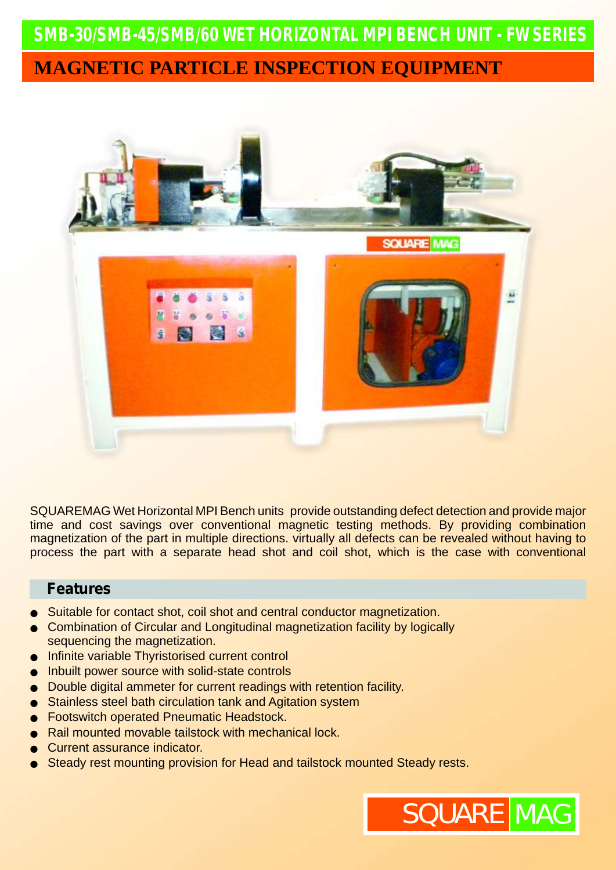# **SMB-30/SMB-45/SMB/60** *WET HORIZONTAL MPI BENCH UNIT - FW SERIES* **MAGNETIC PARTICLE INSPECTION EQUIPMENT**



SQUAREMAG Wet Horizontal MPI Bench units provide outstanding defect detection and provide major time and cost savings over conventional magnetic testing methods. By providing combination magnetization of the part in multiple directions. virtually all defects can be revealed without having to process the part with a separate head shot and coil shot, which is the case with conventional

#### **Features**

- Suitable for contact shot, coil shot and central conductor magnetization.
- Combination of Circular and Longitudinal magnetization facility by logically sequencing the magnetization.
- Infinite variable Thyristorised current control
- Inbuilt power source with solid-state controls
- Double digital ammeter for current readings with retention facility.
- Stainless steel bath circulation tank and Agitation system
- Footswitch operated Pneumatic Headstock.
- Rail mounted movable tailstock with mechanical lock.
- Current assurance indicator.
- Steady rest mounting provision for Head and tailstock mounted Steady rests.